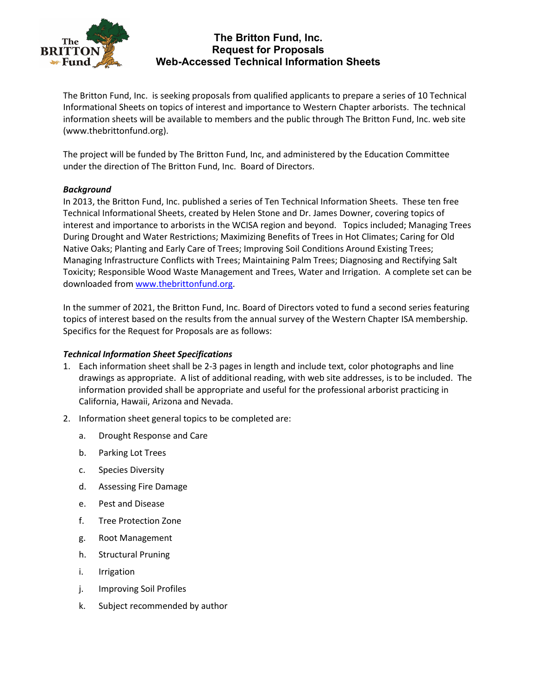

# **The Britton Fund, Inc. Request for Proposals Web-Accessed Technical Information Sheets**

The Britton Fund, Inc. is seeking proposals from qualified applicants to prepare a series of 10 Technical Informational Sheets on topics of interest and importance to Western Chapter arborists. The technical information sheets will be available to members and the public through The Britton Fund, Inc. web site (www.thebrittonfund.org).

The project will be funded by The Britton Fund, Inc, and administered by the Education Committee under the direction of The Britton Fund, Inc. Board of Directors.

## *Background*

In 2013, the Britton Fund, Inc. published a series of Ten Technical Information Sheets. These ten free Technical Informational Sheets, created by Helen Stone and Dr. James Downer, covering topics of interest and importance to arborists in the WCISA region and beyond. Topics included; Managing Trees During Drought and Water Restrictions; Maximizing Benefits of Trees in Hot Climates; Caring for Old Native Oaks; Planting and Early Care of Trees; Improving Soil Conditions Around Existing Trees; Managing Infrastructure Conflicts with Trees; Maintaining Palm Trees; Diagnosing and Rectifying Salt Toxicity; Responsible Wood Waste Management and Trees, Water and Irrigation. A complete set can be downloaded fro[m www.thebrittonfund.org.](http://www.thebrittonfund.org/)

In the summer of 2021, the Britton Fund, Inc. Board of Directors voted to fund a second series featuring topics of interest based on the results from the annual survey of the Western Chapter ISA membership. Specifics for the Request for Proposals are as follows:

## *Technical Information Sheet Specifications*

- 1. Each information sheet shall be 2-3 pages in length and include text, color photographs and line drawings as appropriate. A list of additional reading, with web site addresses, is to be included. The information provided shall be appropriate and useful for the professional arborist practicing in California, Hawaii, Arizona and Nevada.
- 2. Information sheet general topics to be completed are:
	- a. Drought Response and Care
	- b. Parking Lot Trees
	- c. Species Diversity
	- d. Assessing Fire Damage
	- e. Pest and Disease
	- f. Tree Protection Zone
	- g. Root Management
	- h. Structural Pruning
	- i. Irrigation
	- j. Improving Soil Profiles
	- k. Subject recommended by author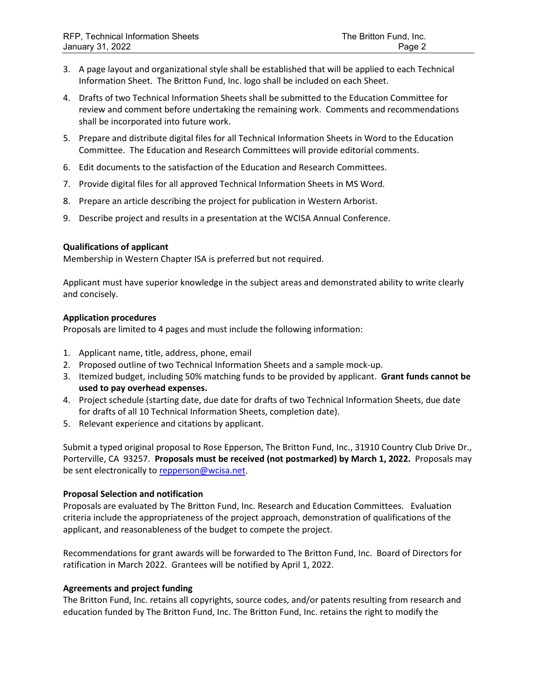- 3. A page layout and organizational style shall be established that will be applied to each Technical Information Sheet. The Britton Fund, Inc. logo shall be included on each Sheet.
- 4. Drafts of two Technical Information Sheets shall be submitted to the Education Committee for review and comment before undertaking the remaining work. Comments and recommendations shall be incorporated into future work.
- 5. Prepare and distribute digital files for all Technical Information Sheets in Word to the Education Committee. The Education and Research Committees will provide editorial comments.
- 6. Edit documents to the satisfaction of the Education and Research Committees.
- 7. Provide digital files for all approved Technical Information Sheets in MS Word.
- 8. Prepare an article describing the project for publication in Western Arborist.
- 9. Describe project and results in a presentation at the WCISA Annual Conference.

## **Qualifications of applicant**

Membership in Western Chapter ISA is preferred but not required.

Applicant must have superior knowledge in the subject areas and demonstrated ability to write clearly and concisely.

### **Application procedures**

Proposals are limited to 4 pages and must include the following information:

- 1. Applicant name, title, address, phone, email
- 2. Proposed outline of two Technical Information Sheets and a sample mock-up.
- 3. Itemized budget, including 50% matching funds to be provided by applicant. **Grant funds cannot be used to pay overhead expenses.**
- 4. Project schedule (starting date, due date for drafts of two Technical Information Sheets, due date for drafts of all 10 Technical Information Sheets, completion date).
- 5. Relevant experience and citations by applicant.

Submit a typed original proposal to Rose Epperson, The Britton Fund, Inc., 31910 Country Club Drive Dr., Porterville, CA 93257. **Proposals must be received (not postmarked) by March 1, 2022.** Proposals may be sent electronically t[o repperson@wcisa.net.](mailto:repperson@wcisa.net)

## **Proposal Selection and notification**

Proposals are evaluated by The Britton Fund, Inc. Research and Education Committees. Evaluation criteria include the appropriateness of the project approach, demonstration of qualifications of the applicant, and reasonableness of the budget to compete the project.

Recommendations for grant awards will be forwarded to The Britton Fund, Inc. Board of Directors for ratification in March 2022. Grantees will be notified by April 1, 2022.

## **Agreements and project funding**

The Britton Fund, Inc. retains all copyrights, source codes, and/or patents resulting from research and education funded by The Britton Fund, Inc. The Britton Fund, Inc. retains the right to modify the